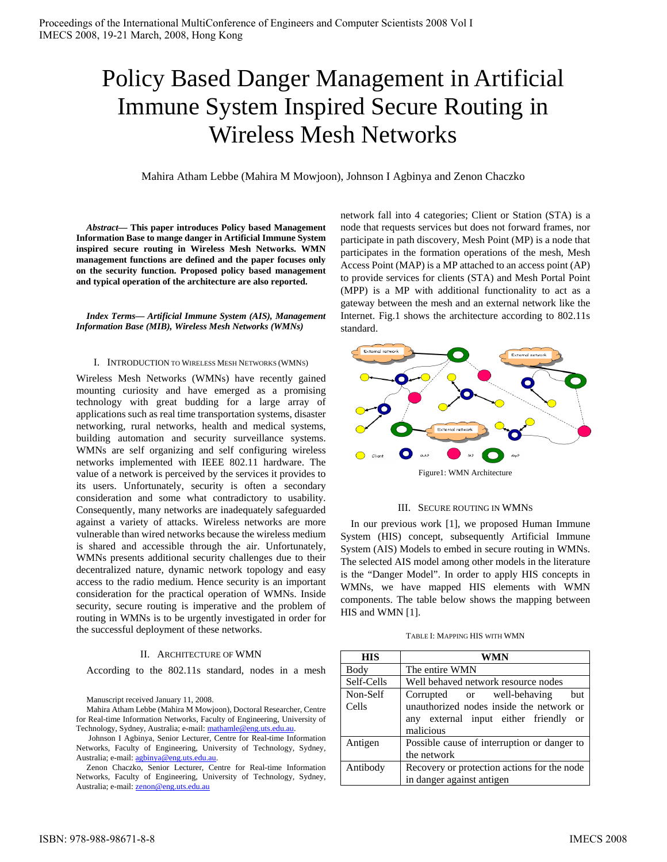# Policy Based Danger Management in Artificial Immune System Inspired Secure Routing in Wireless Mesh Networks

Mahira Atham Lebbe (Mahira M Mowjoon), Johnson I Agbinya and Zenon Chaczko

*Abstract***— This paper introduces Policy based Management Information Base to mange danger in Artificial Immune System inspired secure routing in Wireless Mesh Networks. WMN management functions are defined and the paper focuses only on the security function. Proposed policy based management and typical operation of the architecture are also reported.** 

*Index Terms— Artificial Immune System (AIS), Management Information Base (MIB), Wireless Mesh Networks (WMNs)* 

#### I. INTRODUCTION TO WIRELESS MESH NETWORKS (WMNS)

Wireless Mesh Networks (WMNs) have recently gained mounting curiosity and have emerged as a promising technology with great budding for a large array of applications such as real time transportation systems, disaster networking, rural networks, health and medical systems, building automation and security surveillance systems. WMNs are self organizing and self configuring wireless networks implemented with IEEE 802.11 hardware. The value of a network is perceived by the services it provides to its users. Unfortunately, security is often a secondary consideration and some what contradictory to usability. Consequently, many networks are inadequately safeguarded against a variety of attacks. Wireless networks are more vulnerable than wired networks because the wireless medium is shared and accessible through the air. Unfortunately, WMNs presents additional security challenges due to their decentralized nature, dynamic network topology and easy access to the radio medium. Hence security is an important consideration for the practical operation of WMNs. Inside security, secure routing is imperative and the problem of routing in WMNs is to be urgently investigated in order for the successful deployment of these networks.

## II. ARCHITECTURE OF WMN

According to the 802.11s standard, nodes in a mesh

Manuscript received January 11, 2008.

Mahira Atham Lebbe (Mahira M Mowjoon), Doctoral Researcher, Centre for Real-time Information Networks, Faculty of Engineering, University of Technology, Sydney, Australia; e-mail: mathamle@eng.uts.edu.au.

 Johnson I Agbinya, Senior Lecturer, Centre for Real-time Information Networks, Faculty of Engineering, University of Technology, Sydney, Australia; e-mail: agbinya@eng.uts.edu.au

Zenon Chaczko, Senior Lecturer, Centre for Real-time Information Networks, Faculty of Engineering, University of Technology, Sydney, Australia; e-mail: zenon@eng.uts.edu.au

network fall into 4 categories; Client or Station (STA) is a node that requests services but does not forward frames, nor participate in path discovery, Mesh Point (MP) is a node that participates in the formation operations of the mesh, Mesh Access Point (MAP) is a MP attached to an access point (AP) to provide services for clients (STA) and Mesh Portal Point (MPP) is a MP with additional functionality to act as a gateway between the mesh and an external network like the Internet. Fig.1 shows the architecture according to 802.11s standard.



#### III. SECURE ROUTING IN WMNS

In our previous work [1], we proposed Human Immune System (HIS) concept, subsequently Artificial Immune System (AIS) Models to embed in secure routing in WMNs. The selected AIS model among other models in the literature is the "Danger Model". In order to apply HIS concepts in WMNs, we have mapped HIS elements with WMN components. The table below shows the mapping between HIS and WMN [1].

| TABLE I: MAPPING HIS WITH WMN |  |
|-------------------------------|--|
|-------------------------------|--|

| <b>HIS</b>        | WMN                                                                                                                                 |
|-------------------|-------------------------------------------------------------------------------------------------------------------------------------|
| Body              | The entire WMN                                                                                                                      |
| Self-Cells        | Well behaved network resource nodes                                                                                                 |
| Non-Self<br>Cells | Corrupted or well-behaving<br>but<br>unauthorized nodes inside the network or<br>any external input either friendly or<br>malicious |
| Antigen           | Possible cause of interruption or danger to<br>the network                                                                          |
| Antibody          | Recovery or protection actions for the node<br>in danger against antigen                                                            |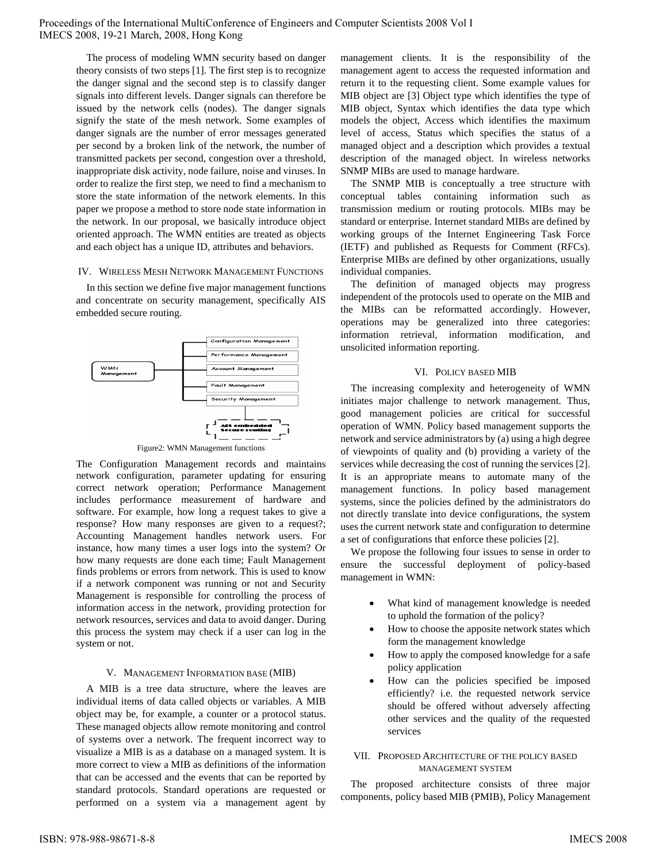The process of modeling WMN security based on danger theory consists of two steps [1]. The first step is to recognize the danger signal and the second step is to classify danger signals into different levels. Danger signals can therefore be issued by the network cells (nodes). The danger signals signify the state of the mesh network. Some examples of danger signals are the number of error messages generated per second by a broken link of the network, the number of transmitted packets per second, congestion over a threshold, inappropriate disk activity, node failure, noise and viruses. In order to realize the first step, we need to find a mechanism to store the state information of the network elements. In this paper we propose a method to store node state information in the network. In our proposal, we basically introduce object oriented approach. The WMN entities are treated as objects and each object has a unique ID, attributes and behaviors.

## IV. WIRELESS MESH NETWORK MANAGEMENT FUNCTIONS

In this section we define five major management functions and concentrate on security management, specifically AIS embedded secure routing.



Figure2: WMN Management functions

The Configuration Management records and maintains network configuration, parameter updating for ensuring correct network operation; Performance Management includes performance measurement of hardware and software. For example, how long a request takes to give a response? How many responses are given to a request?; Accounting Management handles network users. For instance, how many times a user logs into the system? Or how many requests are done each time; Fault Management finds problems or errors from network. This is used to know if a network component was running or not and Security Management is responsible for controlling the process of information access in the network, providing protection for network resources, services and data to avoid danger. During this process the system may check if a user can log in the system or not.

## V. MANAGEMENT INFORMATION BASE (MIB)

A MIB is a tree data structure, where the leaves are individual items of data called objects or variables. A MIB object may be, for example, a counter or a protocol status. These managed objects allow remote monitoring and control of systems over a network. The frequent incorrect way to visualize a MIB is as a database on a managed system. It is more correct to view a MIB as definitions of the information that can be accessed and the events that can be reported by standard protocols. Standard operations are requested or performed on a system via a management agent by management clients. It is the responsibility of the management agent to access the requested information and return it to the requesting client. Some example values for MIB object are [3] Object type which identifies the type of MIB object, Syntax which identifies the data type which models the object, Access which identifies the maximum level of access, Status which specifies the status of a managed object and a description which provides a textual description of the managed object. In wireless networks SNMP MIBs are used to manage hardware.

The SNMP MIB is conceptually a tree structure with conceptual tables containing information such as transmission medium or routing protocols. MIBs may be standard or enterprise. Internet standard MIBs are defined by working groups of the Internet Engineering Task Force (IETF) and published as Requests for Comment (RFCs). Enterprise MIBs are defined by other organizations, usually individual companies.

The definition of managed objects may progress independent of the protocols used to operate on the MIB and the MIBs can be reformatted accordingly. However, operations may be generalized into three categories: information retrieval, information modification, and unsolicited information reporting.

# VI. POLICY BASED MIB

The increasing complexity and heterogeneity of WMN initiates major challenge to network management. Thus, good management policies are critical for successful operation of WMN. Policy based management supports the network and service administrators by (a) using a high degree of viewpoints of quality and (b) providing a variety of the services while decreasing the cost of running the services [2]. It is an appropriate means to automate many of the management functions. In policy based management systems, since the policies defined by the administrators do not directly translate into device configurations, the system uses the current network state and configuration to determine a set of configurations that enforce these policies [2].

We propose the following four issues to sense in order to ensure the successful deployment of policy-based management in WMN:

- What kind of management knowledge is needed to uphold the formation of the policy?
- How to choose the apposite network states which form the management knowledge
- How to apply the composed knowledge for a safe policy application
- How can the policies specified be imposed efficiently? i.e. the requested network service should be offered without adversely affecting other services and the quality of the requested services

# VII. PROPOSED ARCHITECTURE OF THE POLICY BASED MANAGEMENT SYSTEM

The proposed architecture consists of three major components, policy based MIB (PMIB), Policy Management